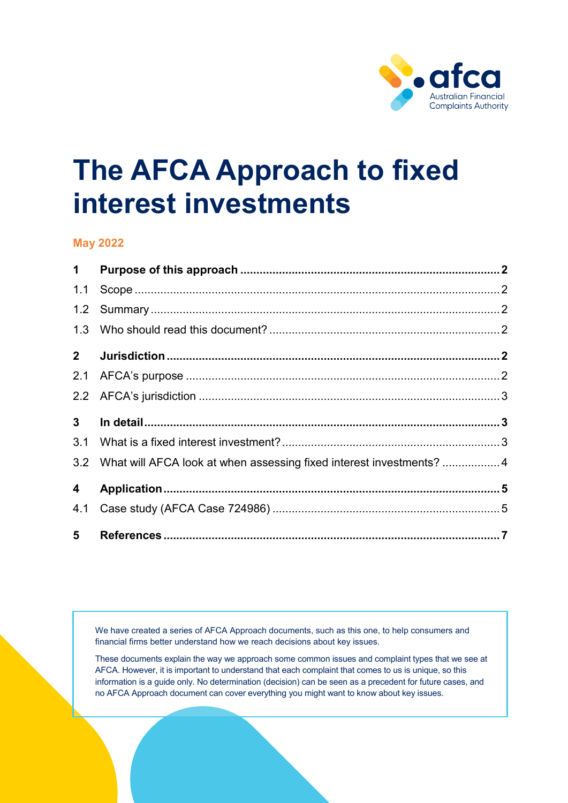

# **The AFCA Approach to fixed interest investments**

#### **May 2022**

| $1 -$          |                                                                          |  |
|----------------|--------------------------------------------------------------------------|--|
| 1.1            |                                                                          |  |
|                |                                                                          |  |
|                |                                                                          |  |
| $2^{\circ}$    |                                                                          |  |
| 2.1            |                                                                          |  |
|                |                                                                          |  |
| 3 <sup>1</sup> |                                                                          |  |
|                |                                                                          |  |
|                | 3.2 What will AFCA look at when assessing fixed interest investments?  4 |  |
| 4              |                                                                          |  |
| 4.1            |                                                                          |  |
| 5 <sup>1</sup> |                                                                          |  |

We have created a series of AFCA Approach documents, such as this one, to help consumers and financial firms better understand how we reach decisions about key issues.

These documents explain the way we approach some common issues and complaint types that we see at AFCA. However, it is important to understand that each complaint that comes to us is unique, so this information is a guide only. No determination (decision) can be seen as a precedent for future cases, and no AFCA Approach document can cover everything you might want to know about key issues.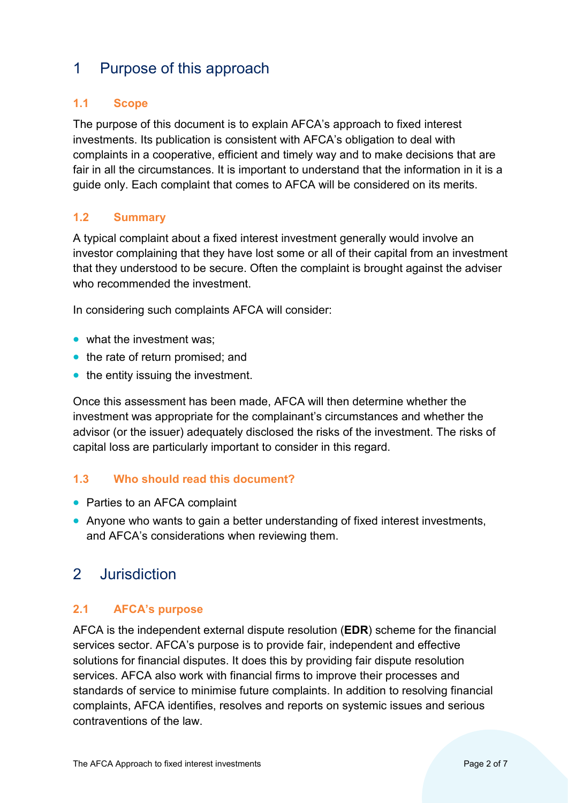## <span id="page-1-0"></span>1 Purpose of this approach

#### <span id="page-1-1"></span>**1.1 Scope**

The purpose of this document is to explain AFCA's approach to fixed interest investments. Its publication is consistent with AFCA's obligation to deal with complaints in a cooperative, efficient and timely way and to make decisions that are fair in all the circumstances. It is important to understand that the information in it is a guide only. Each complaint that comes to AFCA will be considered on its merits.

#### <span id="page-1-2"></span>**1.2 Summary**

A typical complaint about a fixed interest investment generally would involve an investor complaining that they have lost some or all of their capital from an investment that they understood to be secure. Often the complaint is brought against the adviser who recommended the investment.

In considering such complaints AFCA will consider:

- what the investment was:
- the rate of return promised: and
- the entity issuing the investment.

Once this assessment has been made, AFCA will then determine whether the investment was appropriate for the complainant's circumstances and whether the advisor (or the issuer) adequately disclosed the risks of the investment. The risks of capital loss are particularly important to consider in this regard.

#### <span id="page-1-3"></span>**1.3 Who should read this document?**

- Parties to an AFCA complaint
- Anyone who wants to gain a better understanding of fixed interest investments, and AFCA's considerations when reviewing them.

## <span id="page-1-4"></span>2 Jurisdiction

#### <span id="page-1-5"></span>**2.1 AFCA's purpose**

AFCA is the independent external dispute resolution (**EDR**) scheme for the financial services sector. AFCA's purpose is to provide fair, independent and effective solutions for financial disputes. It does this by providing fair dispute resolution services. AFCA also work with financial firms to improve their processes and standards of service to minimise future complaints. In addition to resolving financial complaints, AFCA identifies, resolves and reports on systemic issues and serious contraventions of the law.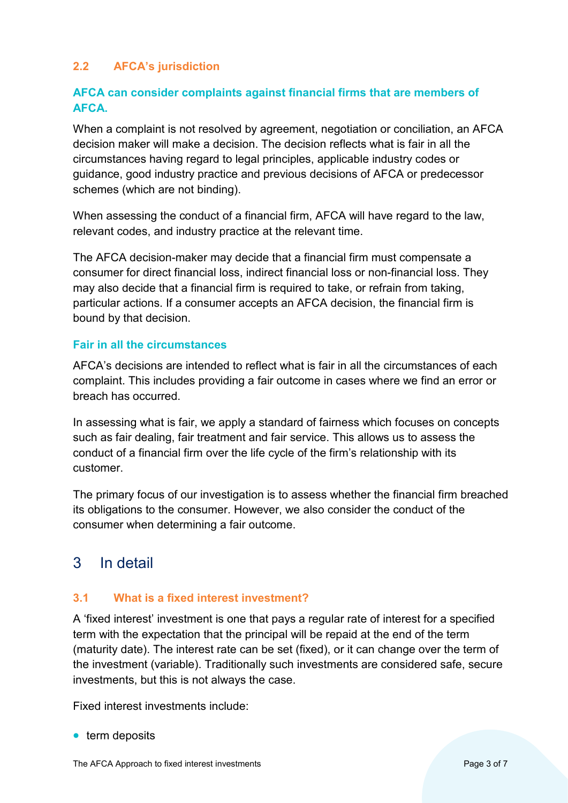#### <span id="page-2-0"></span>**2.2 AFCA's jurisdiction**

#### **AFCA can consider complaints against financial firms that are members of AFCA.**

When a complaint is not resolved by agreement, negotiation or conciliation, an AFCA decision maker will make a decision. The decision reflects what is fair in all the circumstances having regard to legal principles, applicable industry codes or guidance, good industry practice and previous decisions of AFCA or predecessor schemes (which are not binding).

When assessing the conduct of a financial firm, AFCA will have regard to the law. relevant codes, and industry practice at the relevant time.

The AFCA decision-maker may decide that a financial firm must compensate a consumer for direct financial loss, indirect financial loss or non-financial loss. They may also decide that a financial firm is required to take, or refrain from taking, particular actions. If a consumer accepts an AFCA decision, the financial firm is bound by that decision.

#### **Fair in all the circumstances**

AFCA's decisions are intended to reflect what is fair in all the circumstances of each complaint. This includes providing a fair outcome in cases where we find an error or breach has occurred.

In assessing what is fair, we apply a standard of fairness which focuses on concepts such as fair dealing, fair treatment and fair service. This allows us to assess the conduct of a financial firm over the life cycle of the firm's relationship with its customer.

The primary focus of our investigation is to assess whether the financial firm breached its obligations to the consumer. However, we also consider the conduct of the consumer when determining a fair outcome.

## <span id="page-2-1"></span>3 In detail

#### <span id="page-2-2"></span>**3.1 What is a fixed interest investment?**

A 'fixed interest' investment is one that pays a regular rate of interest for a specified term with the expectation that the principal will be repaid at the end of the term (maturity date). The interest rate can be set (fixed), or it can change over the term of the investment (variable). Traditionally such investments are considered safe, secure investments, but this is not always the case.

Fixed interest investments include:

• term deposits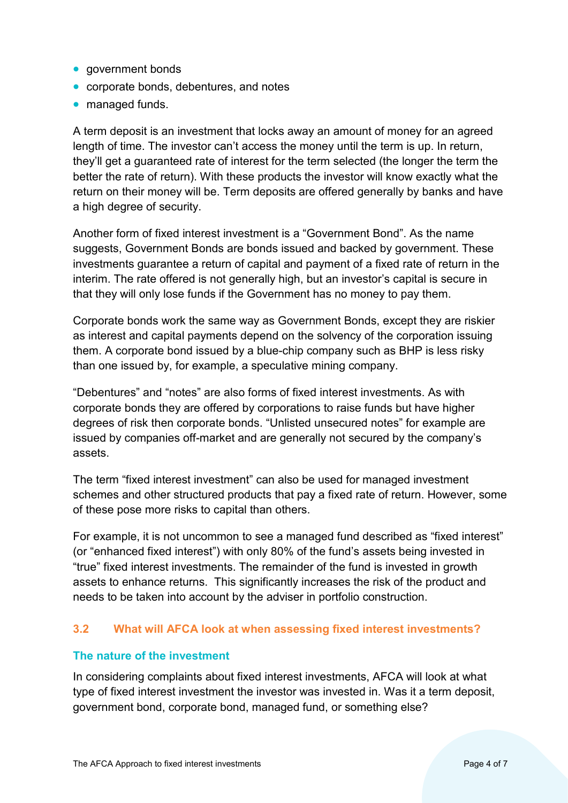- government bonds
- corporate bonds, debentures, and notes
- managed funds.

A term deposit is an investment that locks away an amount of money for an agreed length of time. The investor can't access the money until the term is up. In return, they'll get a guaranteed rate of interest for the term selected (the longer the term the better the rate of return). With these products the investor will know exactly what the return on their money will be. Term deposits are offered generally by banks and have a high degree of security.

Another form of fixed interest investment is a "Government Bond". As the name suggests, Government Bonds are bonds issued and backed by government. These investments guarantee a return of capital and payment of a fixed rate of return in the interim. The rate offered is not generally high, but an investor's capital is secure in that they will only lose funds if the Government has no money to pay them.

Corporate bonds work the same way as Government Bonds, except they are riskier as interest and capital payments depend on the solvency of the corporation issuing them. A corporate bond issued by a blue-chip company such as BHP is less risky than one issued by, for example, a speculative mining company.

"Debentures" and "notes" are also forms of fixed interest investments. As with corporate bonds they are offered by corporations to raise funds but have higher degrees of risk then corporate bonds. "Unlisted unsecured notes" for example are issued by companies off-market and are generally not secured by the company's assets.

The term "fixed interest investment" can also be used for managed investment schemes and other structured products that pay a fixed rate of return. However, some of these pose more risks to capital than others.

For example, it is not uncommon to see a managed fund described as "fixed interest" (or "enhanced fixed interest") with only 80% of the fund's assets being invested in "true" fixed interest investments. The remainder of the fund is invested in growth assets to enhance returns. This significantly increases the risk of the product and needs to be taken into account by the adviser in portfolio construction.

#### <span id="page-3-0"></span>**3.2 What will AFCA look at when assessing fixed interest investments?**

#### **The nature of the investment**

In considering complaints about fixed interest investments, AFCA will look at what type of fixed interest investment the investor was invested in. Was it a term deposit, government bond, corporate bond, managed fund, or something else?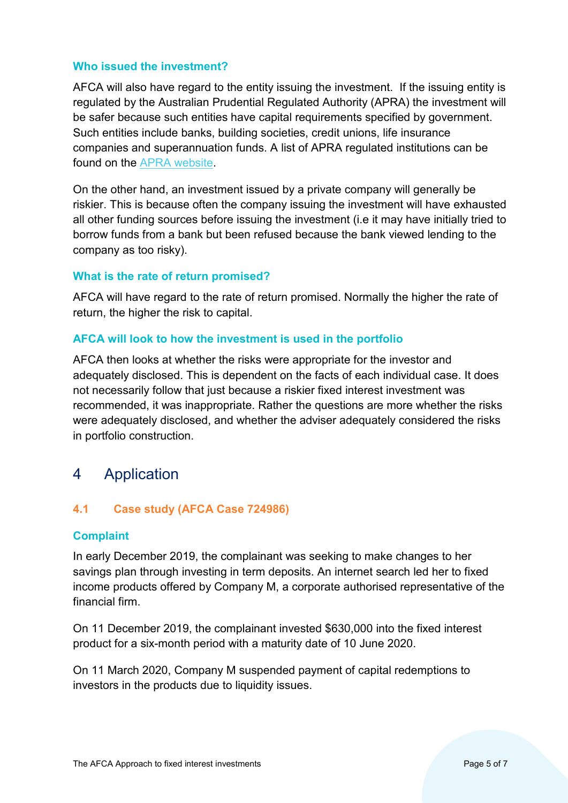#### **Who issued the investment?**

AFCA will also have regard to the entity issuing the investment. If the issuing entity is regulated by the Australian Prudential Regulated Authority (APRA) the investment will be safer because such entities have capital requirements specified by government. Such entities include banks, building societies, credit unions, life insurance companies and superannuation funds. A list of APRA regulated institutions can be found on the [APRA website.](http://www.apra.gov.au/adi/pages/adilist.aspx)

On the other hand, an investment issued by a private company will generally be riskier. This is because often the company issuing the investment will have exhausted all other funding sources before issuing the investment (i.e it may have initially tried to borrow funds from a bank but been refused because the bank viewed lending to the company as too risky).

#### **What is the rate of return promised?**

AFCA will have regard to the rate of return promised. Normally the higher the rate of return, the higher the risk to capital.

#### **AFCA will look to how the investment is used in the portfolio**

AFCA then looks at whether the risks were appropriate for the investor and adequately disclosed. This is dependent on the facts of each individual case. It does not necessarily follow that just because a riskier fixed interest investment was recommended, it was inappropriate. Rather the questions are more whether the risks were adequately disclosed, and whether the adviser adequately considered the risks in portfolio construction.

## <span id="page-4-0"></span>4 Application

#### <span id="page-4-1"></span>**4.1 Case study (AFCA Case 724986)**

#### **Complaint**

In early December 2019, the complainant was seeking to make changes to her savings plan through investing in term deposits. An internet search led her to fixed income products offered by Company M, a corporate authorised representative of the financial firm.

On 11 December 2019, the complainant invested \$630,000 into the fixed interest product for a six-month period with a maturity date of 10 June 2020.

On 11 March 2020, Company M suspended payment of capital redemptions to investors in the products due to liquidity issues.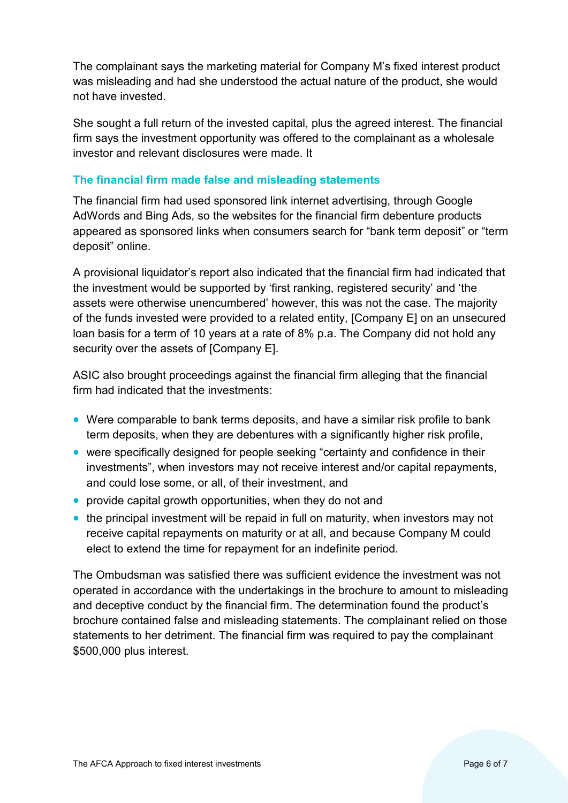The complainant says the marketing material for Company M's fixed interest product was misleading and had she understood the actual nature of the product, she would not have invested.

She sought a full return of the invested capital, plus the agreed interest. The financial firm says the investment opportunity was offered to the complainant as a wholesale investor and relevant disclosures were made. It

#### **The financial firm made false and misleading statements**

The financial firm had used sponsored link internet advertising, through Google AdWords and Bing Ads, so the websites for the financial firm debenture products appeared as sponsored links when consumers search for "bank term deposit" or "term deposit" online.

A provisional liquidator's report also indicated that the financial firm had indicated that the investment would be supported by 'first ranking, registered security' and 'the assets were otherwise unencumbered' however, this was not the case. The majority of the funds invested were provided to a related entity, [Company E] on an unsecured loan basis for a term of 10 years at a rate of 8% p.a. The Company did not hold any security over the assets of [Company E].

ASIC also brought proceedings against the financial firm alleging that the financial firm had indicated that the investments:

- Were comparable to bank terms deposits, and have a similar risk profile to bank term deposits, when they are debentures with a significantly higher risk profile,
- were specifically designed for people seeking "certainty and confidence in their investments", when investors may not receive interest and/or capital repayments, and could lose some, or all, of their investment, and
- provide capital growth opportunities, when they do not and
- the principal investment will be repaid in full on maturity, when investors may not receive capital repayments on maturity or at all, and because Company M could elect to extend the time for repayment for an indefinite period.

The Ombudsman was satisfied there was sufficient evidence the investment was not operated in accordance with the undertakings in the brochure to amount to misleading and deceptive conduct by the financial firm. The determination found the product's brochure contained false and misleading statements. The complainant relied on those statements to her detriment. The financial firm was required to pay the complainant \$500,000 plus interest.